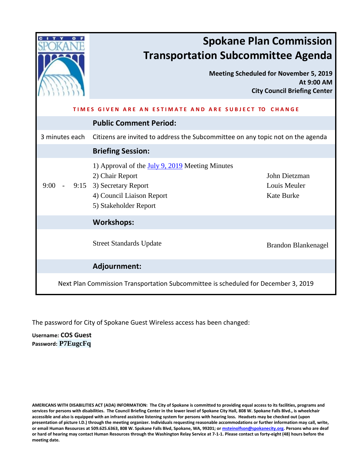|                                                                                    | <b>Spokane Plan Commission</b><br><b>Transportation Subcommittee Agenda</b><br><b>Meeting Scheduled for November 5, 2019</b><br>At 9:00 AM<br><b>City Council Briefing Center</b>                                 |
|------------------------------------------------------------------------------------|-------------------------------------------------------------------------------------------------------------------------------------------------------------------------------------------------------------------|
| TIMES GIVEN ARE AN ESTIMATE AND ARE SUBJECT TO CHANGE                              |                                                                                                                                                                                                                   |
|                                                                                    | <b>Public Comment Period:</b>                                                                                                                                                                                     |
| 3 minutes each                                                                     | Citizens are invited to address the Subcommittee on any topic not on the agenda                                                                                                                                   |
|                                                                                    | <b>Briefing Session:</b>                                                                                                                                                                                          |
| $9:00 -$                                                                           | 1) Approval of the <i>July 9, 2019</i> Meeting Minutes<br>John Dietzman<br>2) Chair Report<br>9:15 3) Secretary Report<br>Louis Meuler<br>4) Council Liaison Report<br><b>Kate Burke</b><br>5) Stakeholder Report |
|                                                                                    | <b>Workshops:</b>                                                                                                                                                                                                 |
|                                                                                    | <b>Street Standards Update</b><br><b>Brandon Blankenagel</b>                                                                                                                                                      |
|                                                                                    | Adjournment:                                                                                                                                                                                                      |
| Next Plan Commission Transportation Subcommittee is scheduled for December 3, 2019 |                                                                                                                                                                                                                   |

The password for City of Spokane Guest Wireless access has been changed:

**Username: COS Guest Password: P7EugcFq**

**AMERICANS WITH DISABILITIES ACT (ADA) INFORMATION: The City of Spokane is committed to providing equal access to its facilities, programs and services for persons with disabilities. The Council Briefing Center in the lower level of Spokane City Hall, 808 W. Spokane Falls Blvd., is wheelchair accessible and also is equipped with an infrared assistive listening system for persons with hearing loss. Headsets may be checked out (upon presentation of picture I.D.) through the meeting organizer. Individuals requesting reasonable accommodations or further information may call, write, or email Human Resources at 509.625.6363, 808 W. Spokane Falls Blvd, Spokane, WA, 99201; or [msteinolfson@spokanecity.org.](mailto:msteinolfson@spokanecity.org) Persons who are deaf or hard of hearing may contact Human Resources through the Washington Relay Service at 7-1-1. Please contact us forty-eight (48) hours before the meeting date.**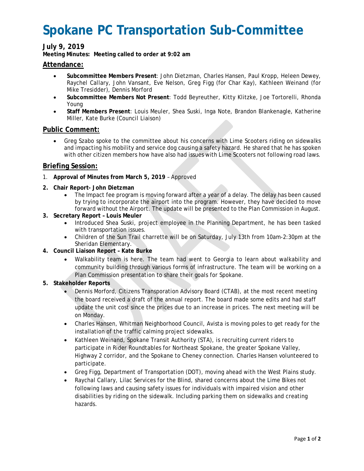# <span id="page-1-0"></span>**Spokane PC Transportation Sub-Committee**

## **July 9, 2019**

**Meeting Minutes: Meeting called to order at 9:02 am** 

### **Attendance:**

- **Subcommittee Members Present**: John Dietzman, Charles Hansen, Paul Kropp, Heleen Dewey, Raychel Callary, John Vansant, Eve Nelson, Greg Figg (for Char Kay), Kathleen Weinand (for Mike Tresidder), Dennis Morford
- **Subcommittee Members Not Present**: Todd Beyreuther, Kitty Klitzke, Joe Tortorelli, Rhonda Young
- **Staff Members Present**: Louis Meuler, Shea Suski, Inga Note, Brandon Blankenagle, Katherine Miller, Kate Burke (Council Liaison)

#### **Public Comment:**

• Greg Szabo spoke to the committee about his concerns with Lime Scooters riding on sidewalks and impacting his mobility and service dog causing a safety hazard. He shared that he has spoken with other citizen members how have also had issues with Lime Scooters not following road laws.

#### **Briefing Session:**

- 1. **Approval of Minutes from March 5, 2019** Approved
- **2. Chair Report- John Dietzman**
	- The Impact fee program is moving forward after a year of a delay. The delay has been caused by trying to incorporate the airport into the program. However, they have decided to move forward without the Airport. The update will be presented to the Plan Commission in August.
- **3. Secretary Report Louis Meuler**
	- Introduced Shea Suski, project employee in the Planning Department, he has been tasked with transportation issues.
	- Children of the Sun Trail charrette will be on Saturday, July 13th from 10am-2:30pm at the Sheridan Elementary.
- **4. Council Liaison Report Kate Burke**
	- Walkability team is here. The team had went to Georgia to learn about walkability and community building through various forms of infrastructure. The team will be working on a Plan Commission presentation to share their goals for Spokane.
- **5. Stakeholder Reports**
	- Dennis Morford, Citizens Transporation Advisory Board (CTAB), at the most recent meeting the board received a draft of the annual report. The board made some edits and had staff update the unit cost since the prices due to an increase in prices. The next meeting will be on Monday.
	- Charles Hansen, Whitman Neighborhood Council, Avista is moving poles to get ready for the installation of the traffic calming project sidewalks.
	- Kathleen Weinand, Spokane Transit Authority (STA), is recruiting current riders to participate in Rider Roundtables for Northeast Spokane, the greater Spokane Valley, Highway 2 corridor, and the Spokane to Cheney connection. Charles Hansen volunteered to participate.
	- Greg Figg, Department of Transportation (DOT), moving ahead with the West Plains study.
	- Raychal Callary, Lilac Services for the Blind, shared concerns about the Lime Bikes not following laws and causing safety issues for individuals with impaired vision and other disabilities by riding on the sidewalk. Including parking them on sidewalks and creating hazards.